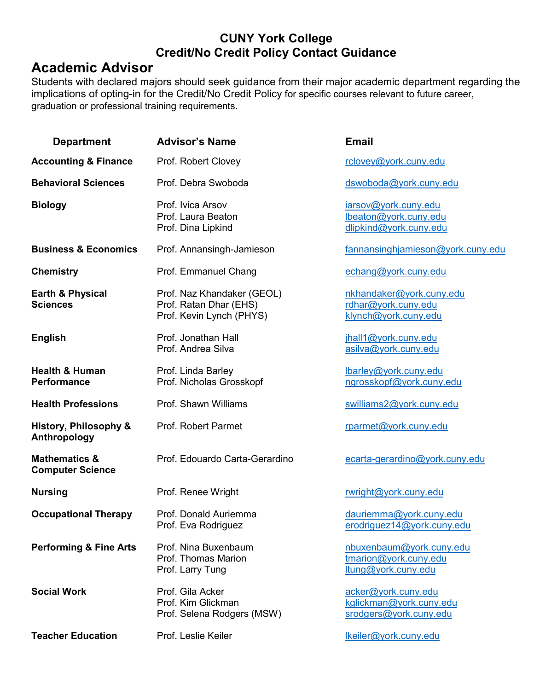#### **CUNY York College Credit/No Credit Policy Contact Guidance**

### **Academic Advisor**

Students with declared majors should seek guidance from their major academic department regarding the implications of opting-in for the Credit/No Credit Policy for specific courses relevant to future career, graduation or professional training requirements.

| <b>Department</b>                                   | <b>Advisor's Name</b>                                                            | <b>Email</b>                                                             |
|-----------------------------------------------------|----------------------------------------------------------------------------------|--------------------------------------------------------------------------|
| <b>Accounting &amp; Finance</b>                     | Prof. Robert Clovey                                                              | rclovey@york.cuny.edu                                                    |
| <b>Behavioral Sciences</b>                          | Prof. Debra Swoboda                                                              | dswoboda@york.cuny.edu                                                   |
| <b>Biology</b>                                      | Prof. Ivica Arsov<br>Prof. Laura Beaton<br>Prof. Dina Lipkind                    | iarsov@york.cuny.edu<br>lbeaton@york.cuny.edu<br>dlipkind@york.cuny.edu  |
| <b>Business &amp; Economics</b>                     | Prof. Annansingh-Jamieson                                                        | fannansinghjamieson@york.cuny.edu                                        |
| <b>Chemistry</b>                                    | Prof. Emmanuel Chang                                                             | echang@york.cuny.edu                                                     |
| <b>Earth &amp; Physical</b><br><b>Sciences</b>      | Prof. Naz Khandaker (GEOL)<br>Prof. Ratan Dhar (EHS)<br>Prof. Kevin Lynch (PHYS) | nkhandaker@york.cuny.edu<br>rdhar@york.cuny.edu<br>klynch@york.cuny.edu  |
| <b>English</b>                                      | Prof. Jonathan Hall<br>Prof. Andrea Silva                                        | jhall1@york.cuny.edu<br>asilva@york.cuny.edu                             |
| <b>Health &amp; Human</b><br><b>Performance</b>     | Prof. Linda Barley<br>Prof. Nicholas Grosskopf                                   | lbarley@york.cuny.edu<br>ngrosskopf@york.cuny.edu                        |
| <b>Health Professions</b>                           | Prof. Shawn Williams                                                             | swilliams2@york.cuny.edu                                                 |
| History, Philosophy &<br>Anthropology               | Prof. Robert Parmet                                                              | rparmet@york.cuny.edu                                                    |
| <b>Mathematics &amp;</b><br><b>Computer Science</b> | Prof. Edouardo Carta-Gerardino                                                   | ecarta-gerardino@york.cuny.edu                                           |
| <b>Nursing</b>                                      | Prof. Renee Wright                                                               | rwright@york.cuny.edu                                                    |
| <b>Occupational Therapy</b>                         | Prof. Donald Auriemma<br>Prof. Eva Rodriguez                                     | dauriemma@york.cuny.edu<br>erodriguez14@york.cuny.edu                    |
| <b>Performing &amp; Fine Arts</b>                   | Prof. Nina Buxenbaum<br>Prof. Thomas Marion<br>Prof. Larry Tung                  | nbuxenbaum@york.cuny.edu<br>tmarion@york.cuny.edu<br>ltung@york.cuny.edu |
| <b>Social Work</b>                                  | Prof. Gila Acker<br>Prof. Kim Glickman<br>Prof. Selena Rodgers (MSW)             | acker@york.cuny.edu<br>kglickman@york.cuny.edu<br>srodgers@york.cuny.edu |
| <b>Teacher Education</b>                            | Prof. Leslie Keiler                                                              | lkeiler@york.cuny.edu                                                    |